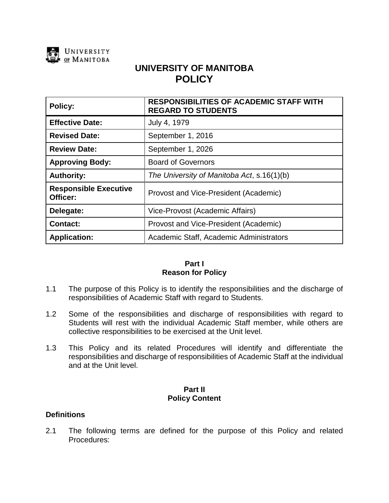

# **UNIVERSITY OF MANITOBA POLICY**

| Policy:                                  | <b>RESPONSIBILITIES OF ACADEMIC STAFF WITH</b><br><b>REGARD TO STUDENTS</b> |
|------------------------------------------|-----------------------------------------------------------------------------|
| <b>Effective Date:</b>                   | July 4, 1979                                                                |
| <b>Revised Date:</b>                     | September 1, 2016                                                           |
| <b>Review Date:</b>                      | September 1, 2026                                                           |
| <b>Approving Body:</b>                   | <b>Board of Governors</b>                                                   |
| <b>Authority:</b>                        | The University of Manitoba Act, s.16(1)(b)                                  |
| <b>Responsible Executive</b><br>Officer: | Provost and Vice-President (Academic)                                       |
| Delegate:                                | Vice-Provost (Academic Affairs)                                             |
| <b>Contact:</b>                          | Provost and Vice-President (Academic)                                       |
| <b>Application:</b>                      | Academic Staff, Academic Administrators                                     |

## **Part I Reason for Policy**

- 1.1 The purpose of this Policy is to identify the responsibilities and the discharge of responsibilities of Academic Staff with regard to Students.
- 1.2 Some of the responsibilities and discharge of responsibilities with regard to Students will rest with the individual Academic Staff member, while others are collective responsibilities to be exercised at the Unit level.
- 1.3 This Policy and its related Procedures will identify and differentiate the responsibilities and discharge of responsibilities of Academic Staff at the individual and at the Unit level.

# **Part II Policy Content**

# **Definitions**

2.1 The following terms are defined for the purpose of this Policy and related Procedures: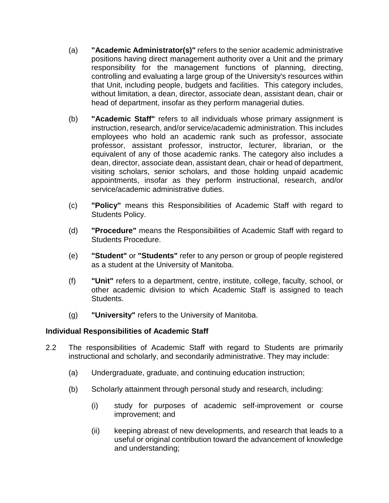- (a) **"Academic Administrator(s)"** refers to the senior academic administrative positions having direct management authority over a Unit and the primary responsibility for the management functions of planning, directing, controlling and evaluating a large group of the University's resources within that Unit, including people, budgets and facilities. This category includes, without limitation, a dean, director, associate dean, assistant dean, chair or head of department, insofar as they perform managerial duties.
- (b) **"Academic Staff"** refers to all individuals whose primary assignment is instruction, research, and/or service/academic administration. This includes employees who hold an academic rank such as professor, associate professor, assistant professor, instructor, lecturer, librarian, or the equivalent of any of those academic ranks. The category also includes a dean, director, associate dean, assistant dean, chair or head of department, visiting scholars, senior scholars, and those holding unpaid academic appointments, insofar as they perform instructional, research, and/or service/academic administrative duties.
- (c) **"Policy"** means this Responsibilities of Academic Staff with regard to Students Policy.
- (d) **"Procedure"** means the Responsibilities of Academic Staff with regard to Students Procedure.
- (e) **"Student"** or **"Students"** refer to any person or group of people registered as a student at the University of Manitoba.
- (f) **"Unit"** refers to a department, centre, institute, college, faculty, school, or other academic division to which Academic Staff is assigned to teach Students.
- (g) **"University"** refers to the University of Manitoba.

# **Individual Responsibilities of Academic Staff**

- 2.2 The responsibilities of Academic Staff with regard to Students are primarily instructional and scholarly, and secondarily administrative. They may include:
	- (a) Undergraduate, graduate, and continuing education instruction;
	- (b) Scholarly attainment through personal study and research, including:
		- (i) study for purposes of academic self-improvement or course improvement; and
		- (ii) keeping abreast of new developments, and research that leads to a useful or original contribution toward the advancement of knowledge and understanding;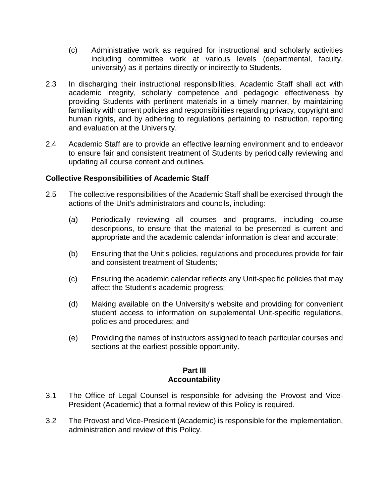- (c) Administrative work as required for instructional and scholarly activities including committee work at various levels (departmental, faculty, university) as it pertains directly or indirectly to Students.
- 2.3 In discharging their instructional responsibilities, Academic Staff shall act with academic integrity, scholarly competence and pedagogic effectiveness by providing Students with pertinent materials in a timely manner, by maintaining familiarity with current policies and responsibilities regarding privacy, copyright and human rights, and by adhering to regulations pertaining to instruction, reporting and evaluation at the University.
- 2.4 Academic Staff are to provide an effective learning environment and to endeavor to ensure fair and consistent treatment of Students by periodically reviewing and updating all course content and outlines.

## **Collective Responsibilities of Academic Staff**

- 2.5 The collective responsibilities of the Academic Staff shall be exercised through the actions of the Unit's administrators and councils, including:
	- (a) Periodically reviewing all courses and programs, including course descriptions, to ensure that the material to be presented is current and appropriate and the academic calendar information is clear and accurate;
	- (b) Ensuring that the Unit's policies, regulations and procedures provide for fair and consistent treatment of Students;
	- (c) Ensuring the academic calendar reflects any Unit-specific policies that may affect the Student's academic progress;
	- (d) Making available on the University's website and providing for convenient student access to information on supplemental Unit-specific regulations, policies and procedures; and
	- (e) Providing the names of instructors assigned to teach particular courses and sections at the earliest possible opportunity.

#### **Part III Accountability**

- 3.1 The Office of Legal Counsel is responsible for advising the Provost and Vice-President (Academic) that a formal review of this Policy is required.
- 3.2 The Provost and Vice-President (Academic) is responsible for the implementation, administration and review of this Policy.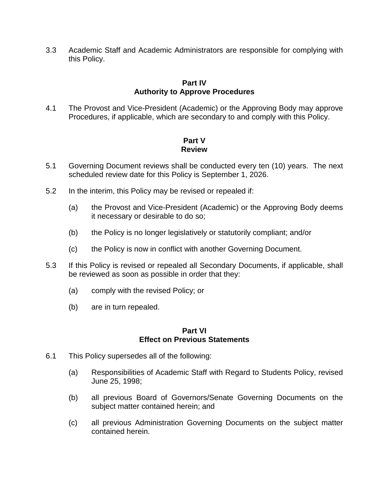3.3 Academic Staff and Academic Administrators are responsible for complying with this Policy.

# **Part IV Authority to Approve Procedures**

4.1 The Provost and Vice-President (Academic) or the Approving Body may approve Procedures, if applicable, which are secondary to and comply with this Policy.

# **Part V Review**

- 5.1 Governing Document reviews shall be conducted every ten (10) years. The next scheduled review date for this Policy is September 1, 2026.
- 5.2 In the interim, this Policy may be revised or repealed if:
	- (a) the Provost and Vice-President (Academic) or the Approving Body deems it necessary or desirable to do so;
	- (b) the Policy is no longer legislatively or statutorily compliant; and/or
	- (c) the Policy is now in conflict with another Governing Document.
- 5.3 If this Policy is revised or repealed all Secondary Documents, if applicable, shall be reviewed as soon as possible in order that they:
	- (a) comply with the revised Policy; or
	- (b) are in turn repealed.

#### **Part VI Effect on Previous Statements**

- 6.1 This Policy supersedes all of the following:
	- (a) Responsibilities of Academic Staff with Regard to Students Policy, revised June 25, 1998;
	- (b) all previous Board of Governors/Senate Governing Documents on the subject matter contained herein; and
	- (c) all previous Administration Governing Documents on the subject matter contained herein.